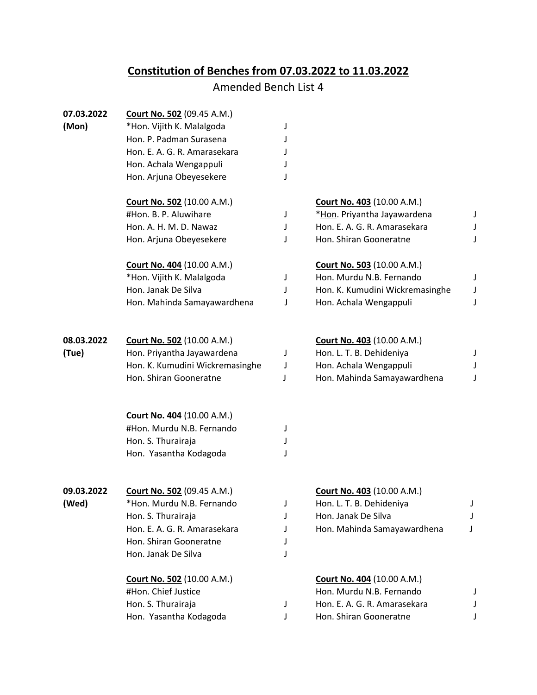## **Constitution of Benches from 07.03.2022 to 11.03.2022**

## Amended Bench List 4

| 07.03.2022 | <b>Court No. 502 (09.45 A.M.)</b>                              |        |                                                        |        |
|------------|----------------------------------------------------------------|--------|--------------------------------------------------------|--------|
| (Mon)      | *Hon. Vijith K. Malalgoda                                      | J      |                                                        |        |
|            | Hon. P. Padman Surasena                                        | J      |                                                        |        |
|            | Hon. E. A. G. R. Amarasekara                                   | J      |                                                        |        |
|            | Hon. Achala Wengappuli                                         |        |                                                        |        |
|            | Hon. Arjuna Obeyesekere                                        |        |                                                        |        |
|            | <b>Court No. 502 (10.00 A.M.)</b>                              |        | <b>Court No. 403 (10.00 A.M.)</b>                      |        |
|            | #Hon. B. P. Aluwihare                                          | J      | *Hon. Priyantha Jayawardena                            | J      |
|            | Hon. A. H. M. D. Nawaz                                         | J      | Hon. E. A. G. R. Amarasekara                           | J      |
|            | Hon. Arjuna Obeyesekere                                        | J      | Hon. Shiran Gooneratne                                 | J      |
|            | <b>Court No. 404 (10.00 A.M.)</b>                              |        | <b>Court No. 503 (10.00 A.M.)</b>                      |        |
|            | *Hon. Vijith K. Malalgoda                                      | J      | Hon. Murdu N.B. Fernando                               | J      |
|            | Hon. Janak De Silva                                            | J      | Hon. K. Kumudini Wickremasinghe                        | J      |
|            | Hon. Mahinda Samayawardhena                                    | J      | Hon. Achala Wengappuli                                 | J      |
| 08.03.2022 | Court No. 502 (10.00 A.M.)                                     |        | <b>Court No. 403 (10.00 A.M.)</b>                      |        |
| (Tue)      | Hon. Priyantha Jayawardena                                     | J      | Hon. L. T. B. Dehideniya                               | J      |
|            | Hon. K. Kumudini Wickremasinghe                                | J      | Hon. Achala Wengappuli                                 | J      |
|            | Hon. Shiran Gooneratne                                         | J      | Hon. Mahinda Samayawardhena                            | J      |
|            | <b>Court No. 404 (10.00 A.M.)</b>                              |        |                                                        |        |
|            | #Hon. Murdu N.B. Fernando                                      | J      |                                                        |        |
|            | Hon. S. Thurairaja                                             | J      |                                                        |        |
|            | Hon. Yasantha Kodagoda                                         |        |                                                        |        |
| 09.03.2022 |                                                                |        |                                                        |        |
|            | <b>Court No. 502 (09.45 A.M.)</b><br>*Hon. Murdu N.B. Fernando |        | Court No. 403 (10.00 A.M.)<br>Hon. L. T. B. Dehideniya |        |
| (Wed)      | Hon. S. Thurairaja                                             | J<br>J | Hon. Janak De Silva                                    | J<br>J |
|            | Hon. E. A. G. R. Amarasekara                                   | J      | Hon. Mahinda Samayawardhena                            | J      |
|            | Hon. Shiran Gooneratne                                         | J      |                                                        |        |
|            | Hon. Janak De Silva                                            | J      |                                                        |        |
|            | <b>Court No. 502 (10.00 A.M.)</b>                              |        | Court No. 404 (10.00 A.M.)                             |        |
|            | #Hon. Chief Justice                                            |        | Hon. Murdu N.B. Fernando                               |        |
|            | Hon. S. Thurairaja                                             | J      | Hon. E. A. G. R. Amarasekara                           |        |
|            | Hon. Yasantha Kodagoda                                         | J      | Hon. Shiran Gooneratne                                 |        |